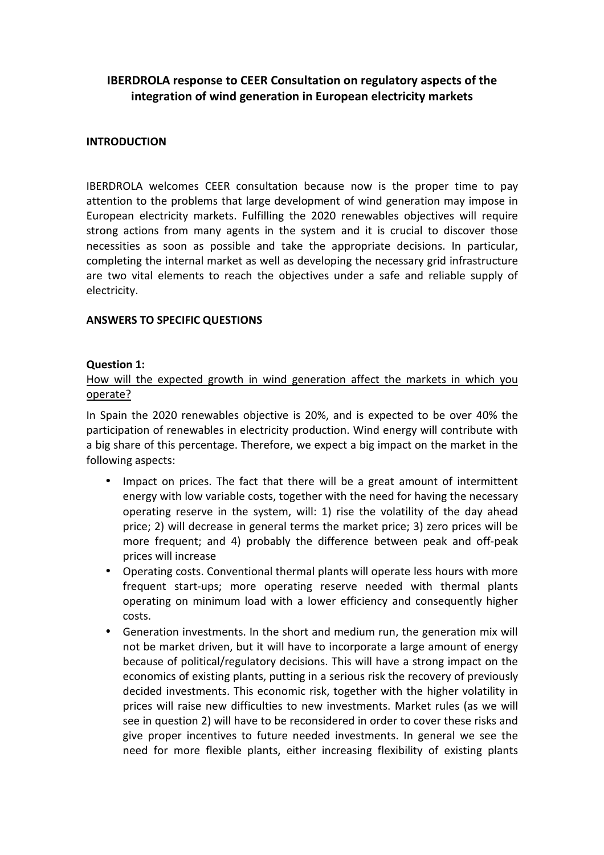# IBERDROLA response to CEER Consultation on regulatory aspects of the integration of wind generation in European electricity markets

#### **INTRODUCTION**

IBERDROLA welcomes CEER consultation because now is the proper time to pay attention to the problems that large development of wind generation may impose in European electricity markets. Fulfilling the 2020 renewables objectives will require strong actions from many agents in the system and it is crucial to discover those necessities as soon as possible and take the appropriate decisions. In particular, completing the internal market as well as developing the necessary grid infrastructure are two vital elements to reach the objectives under a safe and reliable supply of electricity.

#### ANSWERS TO SPECIFIC QUESTIONS

#### Question 1:

### How will the expected growth in wind generation affect the markets in which you operate?

In Spain the 2020 renewables objective is 20%, and is expected to be over 40% the participation of renewables in electricity production. Wind energy will contribute with a big share of this percentage. Therefore, we expect a big impact on the market in the following aspects:

- Impact on prices. The fact that there will be a great amount of intermittent energy with low variable costs, together with the need for having the necessary operating reserve in the system, will: 1) rise the volatility of the day ahead price; 2) will decrease in general terms the market price; 3) zero prices will be more frequent; and 4) probably the difference between peak and off-peak prices will increase
- Operating costs. Conventional thermal plants will operate less hours with more frequent start-ups; more operating reserve needed with thermal plants operating on minimum load with a lower efficiency and consequently higher costs.
- Generation investments. In the short and medium run, the generation mix will not be market driven, but it will have to incorporate a large amount of energy because of political/regulatory decisions. This will have a strong impact on the economics of existing plants, putting in a serious risk the recovery of previously decided investments. This economic risk, together with the higher volatility in prices will raise new difficulties to new investments. Market rules (as we will see in question 2) will have to be reconsidered in order to cover these risks and give proper incentives to future needed investments. In general we see the need for more flexible plants, either increasing flexibility of existing plants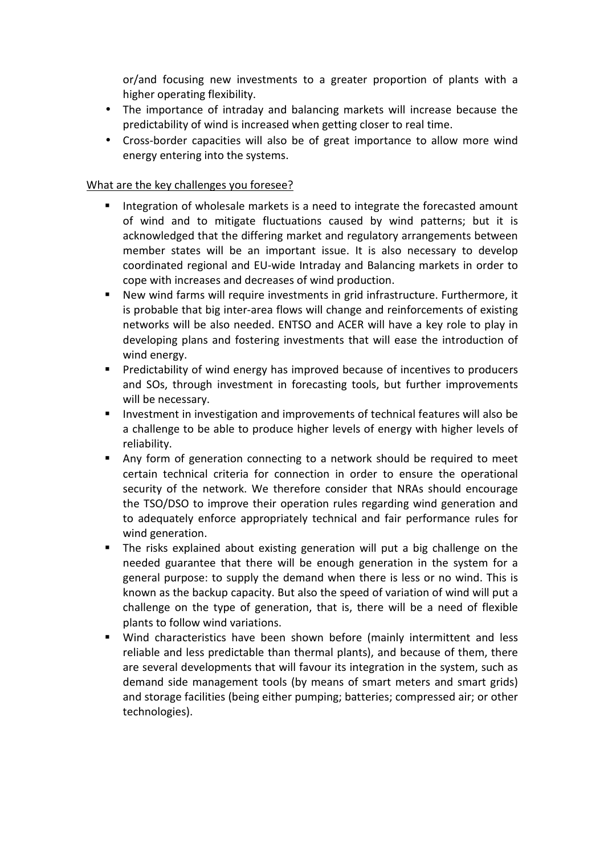or/and focusing new investments to a greater proportion of plants with a higher operating flexibility.

- The importance of intraday and balancing markets will increase because the predictability of wind is increased when getting closer to real time.
- Cross-border capacities will also be of great importance to allow more wind energy entering into the systems.

## What are the key challenges you foresee?

- Integration of wholesale markets is a need to integrate the forecasted amount of wind and to mitigate fluctuations caused by wind patterns; but it is acknowledged that the differing market and regulatory arrangements between member states will be an important issue. It is also necessary to develop coordinated regional and EU-wide Intraday and Balancing markets in order to cope with increases and decreases of wind production.
- New wind farms will require investments in grid infrastructure. Furthermore, it is probable that big inter-area flows will change and reinforcements of existing networks will be also needed. ENTSO and ACER will have a key role to play in developing plans and fostering investments that will ease the introduction of wind energy.
- **Predictability of wind energy has improved because of incentives to producers** and SOs, through investment in forecasting tools, but further improvements will be necessary.
- **Investment in investigation and improvements of technical features will also be** a challenge to be able to produce higher levels of energy with higher levels of reliability.
- Any form of generation connecting to a network should be required to meet certain technical criteria for connection in order to ensure the operational security of the network. We therefore consider that NRAs should encourage the TSO/DSO to improve their operation rules regarding wind generation and to adequately enforce appropriately technical and fair performance rules for wind generation.
- The risks explained about existing generation will put a big challenge on the needed guarantee that there will be enough generation in the system for a general purpose: to supply the demand when there is less or no wind. This is known as the backup capacity. But also the speed of variation of wind will put a challenge on the type of generation, that is, there will be a need of flexible plants to follow wind variations.
- Wind characteristics have been shown before (mainly intermittent and less reliable and less predictable than thermal plants), and because of them, there are several developments that will favour its integration in the system, such as demand side management tools (by means of smart meters and smart grids) and storage facilities (being either pumping; batteries; compressed air; or other technologies).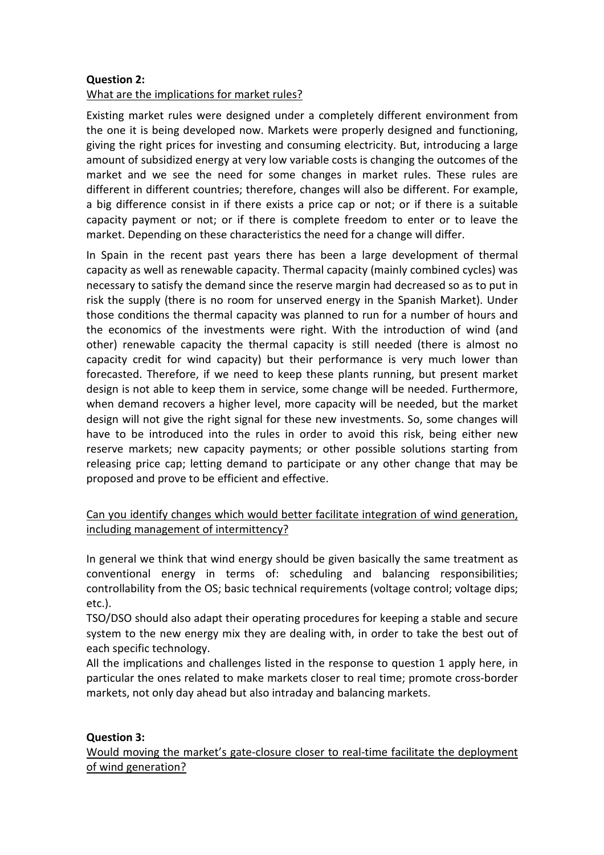## Question 2: What are the implications for market rules?

Existing market rules were designed under a completely different environment from the one it is being developed now. Markets were properly designed and functioning, giving the right prices for investing and consuming electricity. But, introducing a large amount of subsidized energy at very low variable costs is changing the outcomes of the market and we see the need for some changes in market rules. These rules are different in different countries; therefore, changes will also be different. For example, a big difference consist in if there exists a price cap or not; or if there is a suitable capacity payment or not; or if there is complete freedom to enter or to leave the market. Depending on these characteristics the need for a change will differ.

In Spain in the recent past years there has been a large development of thermal capacity as well as renewable capacity. Thermal capacity (mainly combined cycles) was necessary to satisfy the demand since the reserve margin had decreased so as to put in risk the supply (there is no room for unserved energy in the Spanish Market). Under those conditions the thermal capacity was planned to run for a number of hours and the economics of the investments were right. With the introduction of wind (and other) renewable capacity the thermal capacity is still needed (there is almost no capacity credit for wind capacity) but their performance is very much lower than forecasted. Therefore, if we need to keep these plants running, but present market design is not able to keep them in service, some change will be needed. Furthermore, when demand recovers a higher level, more capacity will be needed, but the market design will not give the right signal for these new investments. So, some changes will have to be introduced into the rules in order to avoid this risk, being either new reserve markets; new capacity payments; or other possible solutions starting from releasing price cap; letting demand to participate or any other change that may be proposed and prove to be efficient and effective.

## Can you identify changes which would better facilitate integration of wind generation, including management of intermittency?

In general we think that wind energy should be given basically the same treatment as conventional energy in terms of: scheduling and balancing responsibilities; controllability from the OS; basic technical requirements (voltage control; voltage dips; etc.).

TSO/DSO should also adapt their operating procedures for keeping a stable and secure system to the new energy mix they are dealing with, in order to take the best out of each specific technology.

All the implications and challenges listed in the response to question 1 apply here, in particular the ones related to make markets closer to real time; promote cross-border markets, not only day ahead but also intraday and balancing markets.

## Question 3:

Would moving the market's gate-closure closer to real-time facilitate the deployment of wind generation?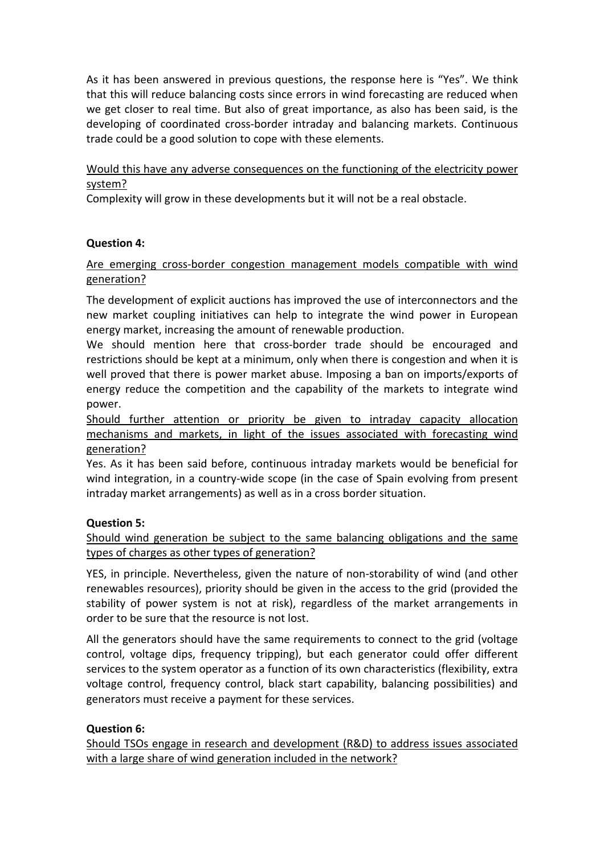As it has been answered in previous questions, the response here is "Yes". We think that this will reduce balancing costs since errors in wind forecasting are reduced when we get closer to real time. But also of great importance, as also has been said, is the developing of coordinated cross-border intraday and balancing markets. Continuous trade could be a good solution to cope with these elements.

Would this have any adverse consequences on the functioning of the electricity power system?

Complexity will grow in these developments but it will not be a real obstacle.

## Question 4:

## Are emerging cross-border congestion management models compatible with wind generation?

The development of explicit auctions has improved the use of interconnectors and the new market coupling initiatives can help to integrate the wind power in European energy market, increasing the amount of renewable production.

We should mention here that cross-border trade should be encouraged and restrictions should be kept at a minimum, only when there is congestion and when it is well proved that there is power market abuse. Imposing a ban on imports/exports of energy reduce the competition and the capability of the markets to integrate wind power.

Should further attention or priority be given to intraday capacity allocation mechanisms and markets, in light of the issues associated with forecasting wind generation?

Yes. As it has been said before, continuous intraday markets would be beneficial for wind integration, in a country-wide scope (in the case of Spain evolving from present intraday market arrangements) as well as in a cross border situation.

## Question 5:

Should wind generation be subject to the same balancing obligations and the same types of charges as other types of generation?

YES, in principle. Nevertheless, given the nature of non-storability of wind (and other renewables resources), priority should be given in the access to the grid (provided the stability of power system is not at risk), regardless of the market arrangements in order to be sure that the resource is not lost.

All the generators should have the same requirements to connect to the grid (voltage control, voltage dips, frequency tripping), but each generator could offer different services to the system operator as a function of its own characteristics (flexibility, extra voltage control, frequency control, black start capability, balancing possibilities) and generators must receive a payment for these services.

# Question 6:

Should TSOs engage in research and development (R&D) to address issues associated with a large share of wind generation included in the network?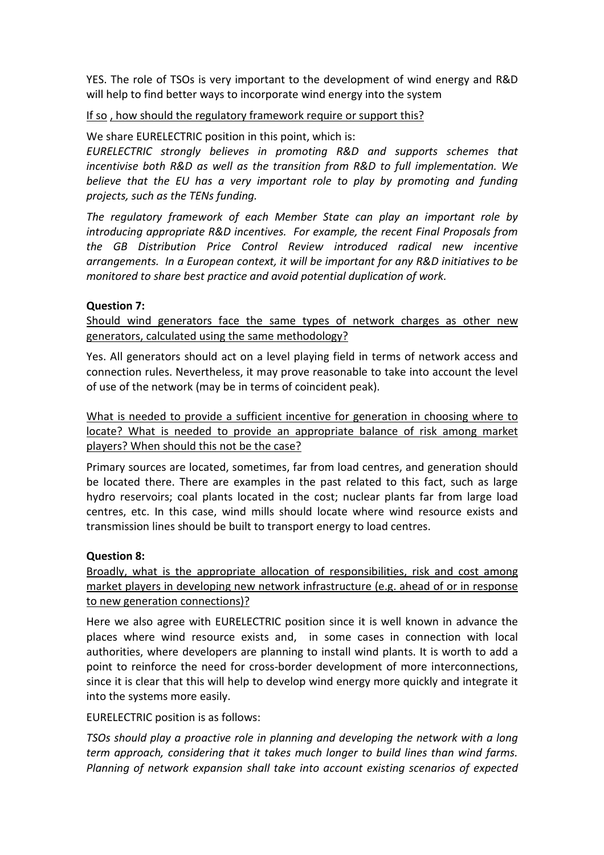YES. The role of TSOs is very important to the development of wind energy and R&D will help to find better ways to incorporate wind energy into the system

### If so , how should the regulatory framework require or support this?

We share EURELECTRIC position in this point, which is:

EURELECTRIC strongly believes in promoting R&D and supports schemes that incentivise both R&D as well as the transition from R&D to full implementation. We believe that the EU has a very important role to play by promoting and funding projects, such as the TENs funding.

The regulatory framework of each Member State can play an important role by introducing appropriate R&D incentives. For example, the recent Final Proposals from the GB Distribution Price Control Review introduced radical new incentive arrangements. In a European context, it will be important for any R&D initiatives to be monitored to share best practice and avoid potential duplication of work.

### Question 7:

Should wind generators face the same types of network charges as other new generators, calculated using the same methodology?

Yes. All generators should act on a level playing field in terms of network access and connection rules. Nevertheless, it may prove reasonable to take into account the level of use of the network (may be in terms of coincident peak).

What is needed to provide a sufficient incentive for generation in choosing where to locate? What is needed to provide an appropriate balance of risk among market players? When should this not be the case?

Primary sources are located, sometimes, far from load centres, and generation should be located there. There are examples in the past related to this fact, such as large hydro reservoirs; coal plants located in the cost; nuclear plants far from large load centres, etc. In this case, wind mills should locate where wind resource exists and transmission lines should be built to transport energy to load centres.

#### Question 8:

Broadly, what is the appropriate allocation of responsibilities, risk and cost among market players in developing new network infrastructure (e.g. ahead of or in response to new generation connections)?

Here we also agree with EURELECTRIC position since it is well known in advance the places where wind resource exists and, in some cases in connection with local authorities, where developers are planning to install wind plants. It is worth to add a point to reinforce the need for cross-border development of more interconnections, since it is clear that this will help to develop wind energy more quickly and integrate it into the systems more easily.

EURELECTRIC position is as follows:

TSOs should play a proactive role in planning and developing the network with a long term approach, considering that it takes much longer to build lines than wind farms. Planning of network expansion shall take into account existing scenarios of expected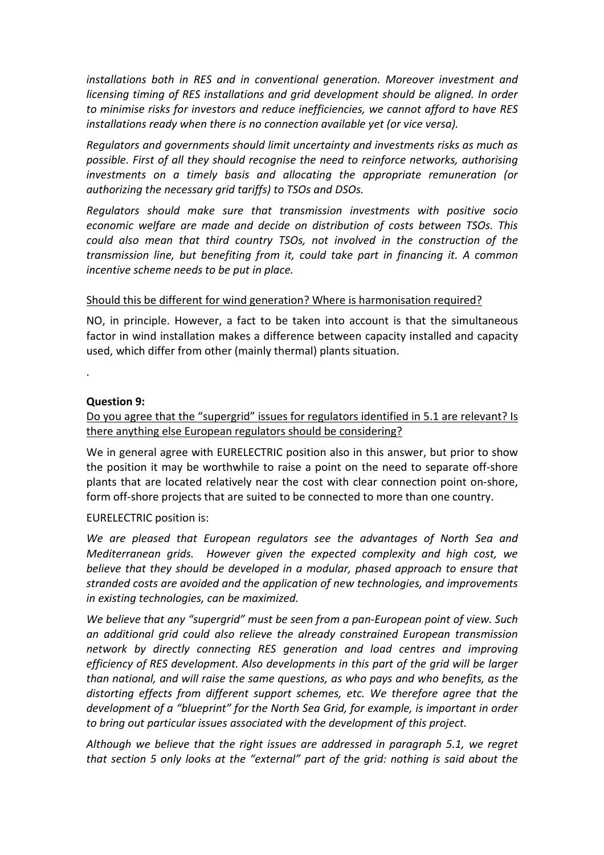installations both in RES and in conventional generation. Moreover investment and licensing timing of RES installations and grid development should be aligned. In order to minimise risks for investors and reduce inefficiencies, we cannot afford to have RES installations ready when there is no connection available yet (or vice versa).

Regulators and governments should limit uncertainty and investments risks as much as possible. First of all they should recognise the need to reinforce networks, authorising investments on a timely basis and allocating the appropriate remuneration (or authorizing the necessary grid tariffs) to TSOs and DSOs.

Regulators should make sure that transmission investments with positive socio economic welfare are made and decide on distribution of costs between TSOs. This could also mean that third country TSOs, not involved in the construction of the transmission line, but benefiting from it, could take part in financing it. A common incentive scheme needs to be put in place.

### Should this be different for wind generation? Where is harmonisation required?

NO, in principle. However, a fact to be taken into account is that the simultaneous factor in wind installation makes a difference between capacity installed and capacity used, which differ from other (mainly thermal) plants situation.

Question 9:

.

Do you agree that the "supergrid" issues for regulators identified in 5.1 are relevant? Is there anything else European regulators should be considering?

We in general agree with EURELECTRIC position also in this answer, but prior to show the position it may be worthwhile to raise a point on the need to separate off-shore plants that are located relatively near the cost with clear connection point on-shore, form off-shore projects that are suited to be connected to more than one country.

EURELECTRIC position is:

We are pleased that European regulators see the advantages of North Sea and Mediterranean grids. However given the expected complexity and high cost, we believe that they should be developed in a modular, phased approach to ensure that stranded costs are avoided and the application of new technologies, and improvements in existing technologies, can be maximized.

We believe that any "supergrid" must be seen from a pan-European point of view. Such an additional grid could also relieve the already constrained European transmission network by directly connecting RES generation and load centres and improving efficiency of RES development. Also developments in this part of the grid will be larger than national, and will raise the same questions, as who pays and who benefits, as the distorting effects from different support schemes, etc. We therefore agree that the development of a "blueprint" for the North Sea Grid, for example, is important in order to bring out particular issues associated with the development of this project.

Although we believe that the right issues are addressed in paragraph 5.1, we regret that section 5 only looks at the "external" part of the grid: nothing is said about the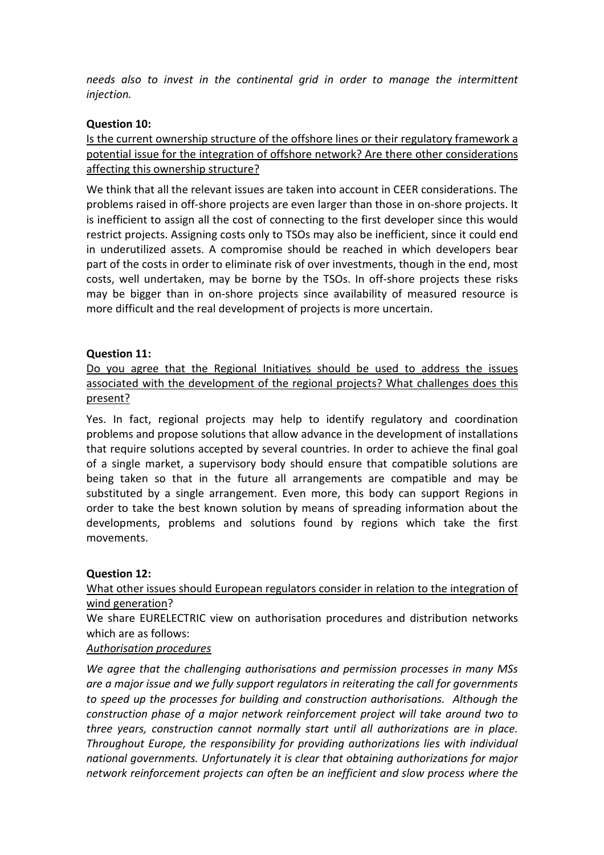needs also to invest in the continental grid in order to manage the intermittent injection.

### Question 10:

## Is the current ownership structure of the offshore lines or their regulatory framework a potential issue for the integration of offshore network? Are there other considerations affecting this ownership structure?

We think that all the relevant issues are taken into account in CEER considerations. The problems raised in off-shore projects are even larger than those in on-shore projects. It is inefficient to assign all the cost of connecting to the first developer since this would restrict projects. Assigning costs only to TSOs may also be inefficient, since it could end in underutilized assets. A compromise should be reached in which developers bear part of the costs in order to eliminate risk of over investments, though in the end, most costs, well undertaken, may be borne by the TSOs. In off-shore projects these risks may be bigger than in on-shore projects since availability of measured resource is more difficult and the real development of projects is more uncertain.

### Question 11:

## Do you agree that the Regional Initiatives should be used to address the issues associated with the development of the regional projects? What challenges does this present?

Yes. In fact, regional projects may help to identify regulatory and coordination problems and propose solutions that allow advance in the development of installations that require solutions accepted by several countries. In order to achieve the final goal of a single market, a supervisory body should ensure that compatible solutions are being taken so that in the future all arrangements are compatible and may be substituted by a single arrangement. Even more, this body can support Regions in order to take the best known solution by means of spreading information about the developments, problems and solutions found by regions which take the first movements.

#### Question 12:

## What other issues should European regulators consider in relation to the integration of wind generation?

We share EURELECTRIC view on authorisation procedures and distribution networks which are as follows:

## Authorisation procedures

We agree that the challenging authorisations and permission processes in many MSs are a major issue and we fully support regulators in reiterating the call for governments to speed up the processes for building and construction authorisations. Although the construction phase of a major network reinforcement project will take around two to three years, construction cannot normally start until all authorizations are in place. Throughout Europe, the responsibility for providing authorizations lies with individual national governments. Unfortunately it is clear that obtaining authorizations for major network reinforcement projects can often be an inefficient and slow process where the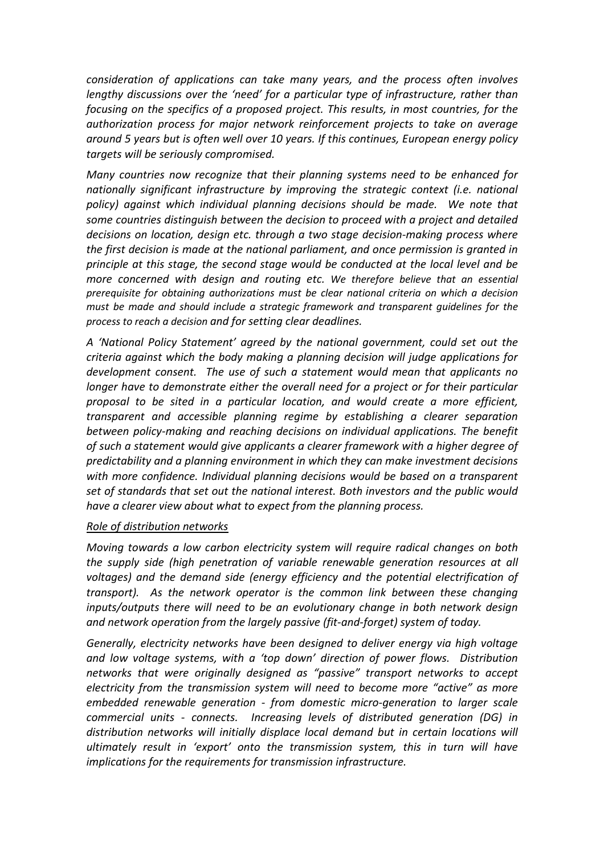consideration of applications can take many years, and the process often involves lengthy discussions over the 'need' for a particular type of infrastructure, rather than focusing on the specifics of a proposed project. This results, in most countries, for the authorization process for major network reinforcement projects to take on average around 5 years but is often well over 10 years. If this continues, European energy policy targets will be seriously compromised.

Many countries now recognize that their planning systems need to be enhanced for nationally significant infrastructure by improving the strategic context (i.e. national policy) against which individual planning decisions should be made. We note that some countries distinguish between the decision to proceed with a project and detailed decisions on location, design etc. through a two stage decision-making process where the first decision is made at the national parliament, and once permission is granted in principle at this stage, the second stage would be conducted at the local level and be more concerned with design and routing etc. We therefore believe that an essential prerequisite for obtaining authorizations must be clear national criteria on which a decision must be made and should include a strategic framework and transparent guidelines for the process to reach a decision and for setting clear deadlines.

A 'National Policy Statement' agreed by the national government, could set out the criteria against which the body making a planning decision will judge applications for development consent. The use of such a statement would mean that applicants no longer have to demonstrate either the overall need for a project or for their particular proposal to be sited in a particular location, and would create a more efficient, transparent and accessible planning regime by establishing a clearer separation between policy-making and reaching decisions on individual applications. The benefit of such a statement would give applicants a clearer framework with a higher degree of predictability and a planning environment in which they can make investment decisions with more confidence. Individual planning decisions would be based on a transparent set of standards that set out the national interest. Both investors and the public would have a clearer view about what to expect from the planning process.

#### Role of distribution networks

Moving towards a low carbon electricity system will require radical changes on both the supply side (high penetration of variable renewable generation resources at all voltages) and the demand side (energy efficiency and the potential electrification of transport). As the network operator is the common link between these changing inputs/outputs there will need to be an evolutionary change in both network design and network operation from the largely passive (fit-and-forget) system of today.

Generally, electricity networks have been designed to deliver energy via high voltage and low voltage systems, with a 'top down' direction of power flows. Distribution networks that were originally designed as "passive" transport networks to accept electricity from the transmission system will need to become more "active" as more embedded renewable generation - from domestic micro-generation to larger scale commercial units - connects. Increasing levels of distributed generation (DG) in distribution networks will initially displace local demand but in certain locations will ultimately result in 'export' onto the transmission system, this in turn will have implications for the requirements for transmission infrastructure.